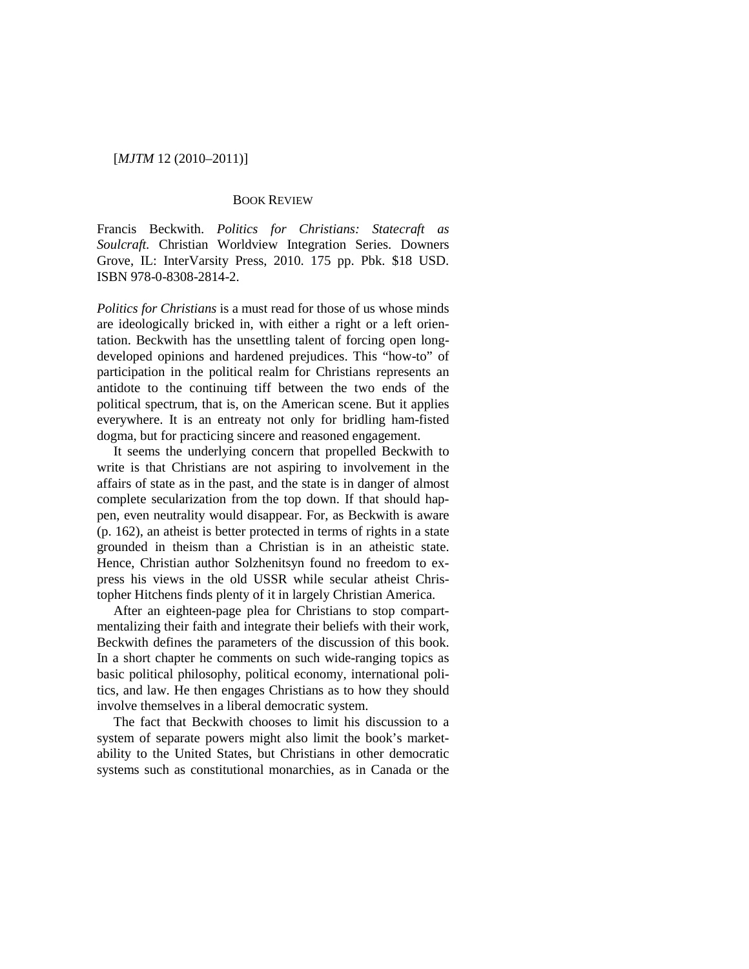#### [*MJTM* 12 (2010–2011)]

### BOOK REVIEW

Francis Beckwith. *Politics for Christians: Statecraft as Soulcraft.* Christian Worldview Integration Series. Downers Grove, IL: InterVarsity Press, 2010. 175 pp. Pbk. \$18 USD. ISBN 978-0-8308-2814-2.

*Politics for Christians* is a must read for those of us whose minds are ideologically bricked in, with either a right or a left orientation. Beckwith has the unsettling talent of forcing open longdeveloped opinions and hardened prejudices. This "how-to" of participation in the political realm for Christians represents an antidote to the continuing tiff between the two ends of the political spectrum, that is, on the American scene. But it applies everywhere. It is an entreaty not only for bridling ham-fisted dogma, but for practicing sincere and reasoned engagement.

It seems the underlying concern that propelled Beckwith to write is that Christians are not aspiring to involvement in the affairs of state as in the past, and the state is in danger of almost complete secularization from the top down. If that should happen, even neutrality would disappear. For, as Beckwith is aware (p. 162), an atheist is better protected in terms of rights in a state grounded in theism than a Christian is in an atheistic state. Hence, Christian author Solzhenitsyn found no freedom to express his views in the old USSR while secular atheist Christopher Hitchens finds plenty of it in largely Christian America.

After an eighteen-page plea for Christians to stop compartmentalizing their faith and integrate their beliefs with their work, Beckwith defines the parameters of the discussion of this book. In a short chapter he comments on such wide-ranging topics as basic political philosophy, political economy, international politics, and law. He then engages Christians as to how they should involve themselves in a liberal democratic system.

The fact that Beckwith chooses to limit his discussion to a system of separate powers might also limit the book's marketability to the United States, but Christians in other democratic systems such as constitutional monarchies, as in Canada or the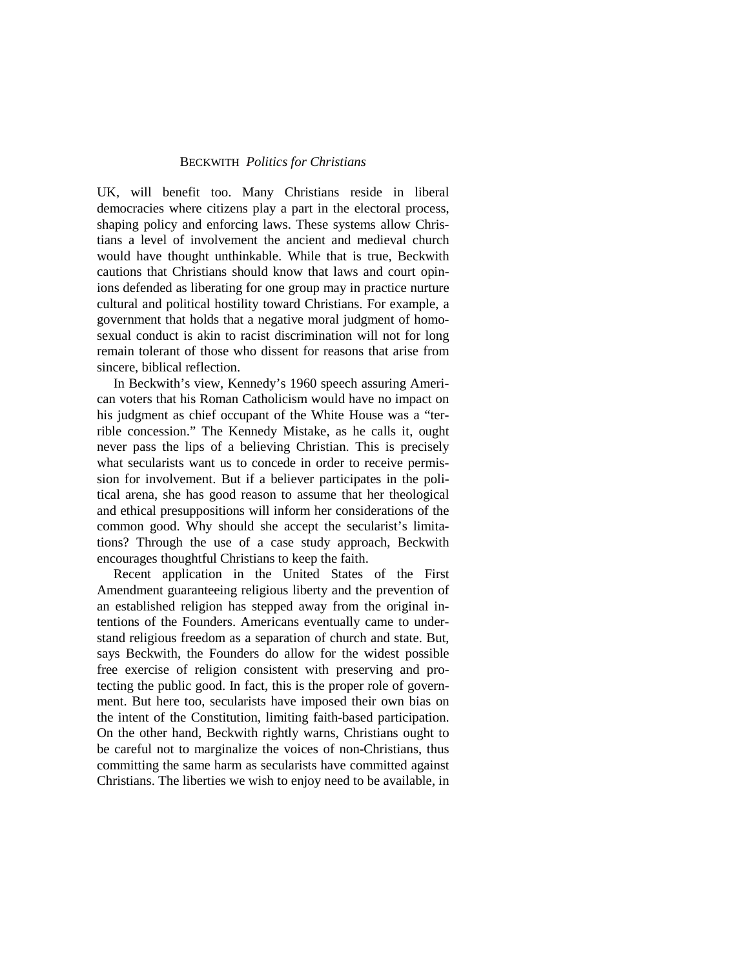## BECKWITH *Politics for Christians*

UK, will benefit too. Many Christians reside in liberal democracies where citizens play a part in the electoral process, shaping policy and enforcing laws. These systems allow Christians a level of involvement the ancient and medieval church would have thought unthinkable. While that is true, Beckwith cautions that Christians should know that laws and court opinions defended as liberating for one group may in practice nurture cultural and political hostility toward Christians. For example, a government that holds that a negative moral judgment of homosexual conduct is akin to racist discrimination will not for long remain tolerant of those who dissent for reasons that arise from sincere, biblical reflection.

In Beckwith's view, Kennedy's 1960 speech assuring American voters that his Roman Catholicism would have no impact on his judgment as chief occupant of the White House was a "terrible concession." The Kennedy Mistake, as he calls it, ought never pass the lips of a believing Christian. This is precisely what secularists want us to concede in order to receive permission for involvement. But if a believer participates in the political arena, she has good reason to assume that her theological and ethical presuppositions will inform her considerations of the common good. Why should she accept the secularist's limitations? Through the use of a case study approach, Beckwith encourages thoughtful Christians to keep the faith.

Recent application in the United States of the First Amendment guaranteeing religious liberty and the prevention of an established religion has stepped away from the original intentions of the Founders. Americans eventually came to understand religious freedom as a separation of church and state. But, says Beckwith, the Founders do allow for the widest possible free exercise of religion consistent with preserving and protecting the public good. In fact, this is the proper role of government. But here too, secularists have imposed their own bias on the intent of the Constitution, limiting faith-based participation. On the other hand, Beckwith rightly warns, Christians ought to be careful not to marginalize the voices of non-Christians, thus committing the same harm as secularists have committed against Christians. The liberties we wish to enjoy need to be available, in